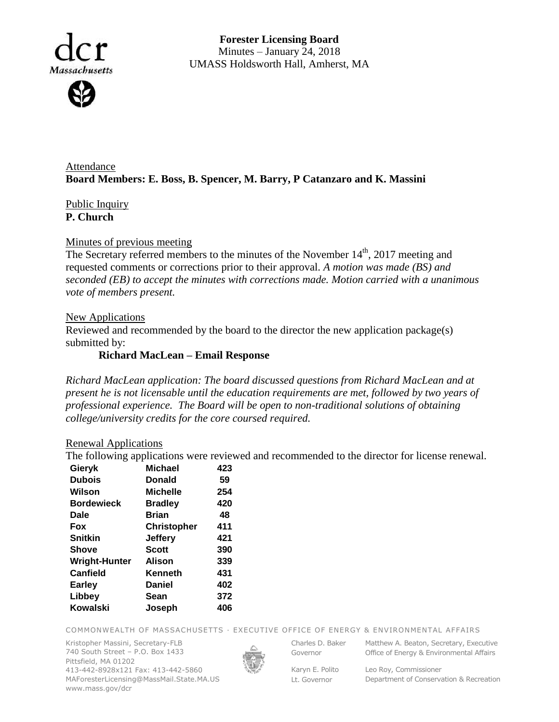

**Forester Licensing Board**  Minutes – January 24, 2018 UMASS Holdsworth Hall, Amherst, MA

Attendance **Board Members: E. Boss, B. Spencer, M. Barry, P Catanzaro and K. Massini**

# Public Inquiry **P. Church**

### Minutes of previous meeting

The Secretary referred members to the minutes of the November 14<sup>th</sup>, 2017 meeting and requested comments or corrections prior to their approval. *A motion was made (BS) and seconded (EB) to accept the minutes with corrections made. Motion carried with a unanimous vote of members present.*

### New Applications

Reviewed and recommended by the board to the director the new application package(s) submitted by:

## **Richard MacLean – Email Response**

*Richard MacLean application: The board discussed questions from Richard MacLean and at present he is not licensable until the education requirements are met, followed by two years of professional experience. The Board will be open to non-traditional solutions of obtaining college/university credits for the core coursed required.*

#### Renewal Applications

The following applications were reviewed and recommended to the director for license renewal.

| Gieryk               | <b>Michael</b>     | 423 |
|----------------------|--------------------|-----|
| <b>Dubois</b>        | Donald             | 59  |
| Wilson               | <b>Michelle</b>    | 254 |
| <b>Bordewieck</b>    | <b>Bradley</b>     | 420 |
| Dale                 | <b>Brian</b>       | 48  |
| Fox                  | <b>Christopher</b> | 411 |
| <b>Snitkin</b>       | <b>Jeffery</b>     | 421 |
| Shove                | <b>Scott</b>       | 390 |
| <b>Wright-Hunter</b> | <b>Alison</b>      | 339 |
| <b>Canfield</b>      | Kenneth            | 431 |
| Earley               | <b>Daniel</b>      | 402 |
| Libbey               | Sean               | 372 |
| Kowalski             | Joseph             | 406 |

COMMONWEALTH OF MASSACHUSETTS · EXECUTIVE OFFICE OF ENERGY & ENVIRONMENTAL AFFAIRS

Kristopher Massini, Secretary-FLB 740 South Street – P.O. Box 1433 Pittsfield, MA 01202 413-442-8928x121 Fax: 413-442-5860 MAForesterLicensing@MassMail.State.MA.US www.mass.gov/dcr



Governor

Charles D. Baker Matthew A. Beaton, Secretary, Executive Office of Energy & Environmental Affairs

Karyn E. Polito Lt. Governor

Leo Roy, Commissioner Department of Conservation & Recreation